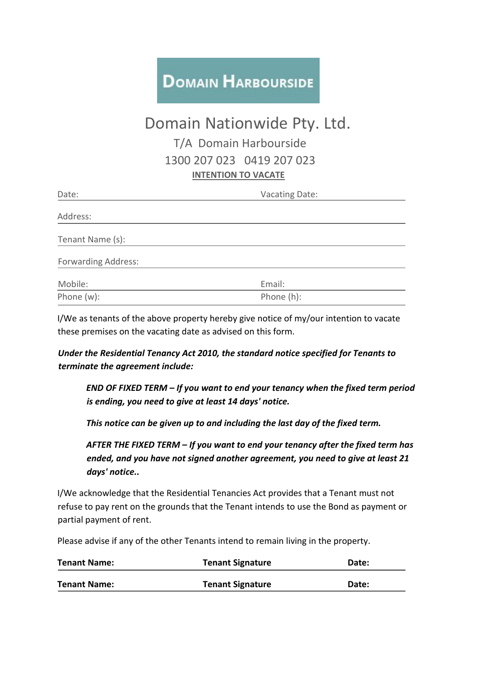## **DOMAIN HARBOURSIDE**

## Domain Nationwide Pty. Ltd. T/A Domain Harbourside 1300 207 023 0419 207 023 **INTENTION TO VACATE**

| Date:                      | <b>Vacating Date:</b> |
|----------------------------|-----------------------|
| Address:                   |                       |
| Tenant Name (s):           |                       |
| <b>Forwarding Address:</b> |                       |
| Mobile:                    | Email:                |
| Phone (w):                 | Phone (h):            |

I/We as tenants of the above property hereby give notice of my/our intention to vacate these premises on the vacating date as advised on this form.

*Under the Residential Tenancy Act 2010, the standard notice specified for Tenants to terminate the agreement include:* 

*END OF FIXED TERM – If you want to end your tenancy when the fixed term period is ending, you need to give at least 14 days' notice.*

*This notice can be given up to and including the last day of the fixed term.*

*AFTER THE FIXED TERM – If you want to end your tenancy after the fixed term has ended, and you have not signed another agreement, you need to give at least 21 days' notice..* 

I/We acknowledge that the Residential Tenancies Act provides that a Tenant must not refuse to pay rent on the grounds that the Tenant intends to use the Bond as payment or partial payment of rent.

Please advise if any of the other Tenants intend to remain living in the property.

| <b>Tenant Name:</b> | <b>Tenant Signature</b> | Date: |
|---------------------|-------------------------|-------|
| <b>Tenant Name:</b> | <b>Tenant Signature</b> | Date: |